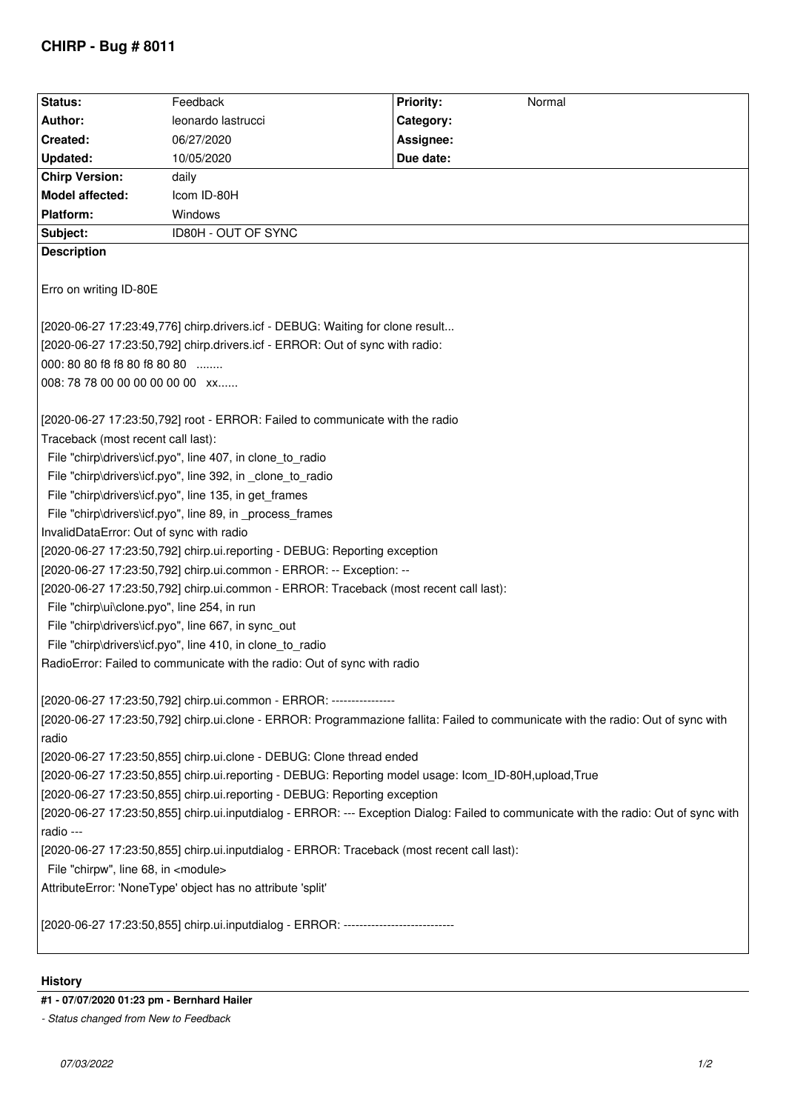## **CHIRP - Bug # 8011**

| Status:                                                                                                                              | Feedback                                                                  | <b>Priority:</b><br>Normal |  |
|--------------------------------------------------------------------------------------------------------------------------------------|---------------------------------------------------------------------------|----------------------------|--|
| Author:                                                                                                                              | leonardo lastrucci                                                        | Category:                  |  |
| Created:                                                                                                                             | 06/27/2020                                                                | Assignee:                  |  |
| Updated:                                                                                                                             | 10/05/2020                                                                | Due date:                  |  |
| <b>Chirp Version:</b>                                                                                                                | daily                                                                     |                            |  |
| Model affected:                                                                                                                      | Icom ID-80H                                                               |                            |  |
| <b>Platform:</b>                                                                                                                     | Windows                                                                   |                            |  |
| Subject:                                                                                                                             | ID80H - OUT OF SYNC                                                       |                            |  |
| <b>Description</b>                                                                                                                   |                                                                           |                            |  |
| Erro on writing ID-80E                                                                                                               |                                                                           |                            |  |
| [2020-06-27 17:23:49,776] chirp.drivers.icf - DEBUG: Waiting for clone result                                                        |                                                                           |                            |  |
| [2020-06-27 17:23:50,792] chirp.drivers.icf - ERROR: Out of sync with radio:                                                         |                                                                           |                            |  |
| 000: 80 80 f8 f8 80 f8 80 80                                                                                                         |                                                                           |                            |  |
| 008: 78 78 00 00 00 00 00 00 xx                                                                                                      |                                                                           |                            |  |
|                                                                                                                                      |                                                                           |                            |  |
| [2020-06-27 17:23:50,792] root - ERROR: Failed to communicate with the radio                                                         |                                                                           |                            |  |
| Traceback (most recent call last):                                                                                                   |                                                                           |                            |  |
| File "chirp\drivers\icf.pyo", line 407, in clone_to_radio                                                                            |                                                                           |                            |  |
| File "chirp\drivers\icf.pyo", line 392, in _clone_to_radio                                                                           |                                                                           |                            |  |
| File "chirp\drivers\icf.pyo", line 135, in get_frames                                                                                |                                                                           |                            |  |
| File "chirp\drivers\icf.pyo", line 89, in _process_frames                                                                            |                                                                           |                            |  |
| InvalidDataError: Out of sync with radio                                                                                             |                                                                           |                            |  |
| [2020-06-27 17:23:50,792] chirp.ui.reporting - DEBUG: Reporting exception                                                            |                                                                           |                            |  |
| [2020-06-27 17:23:50,792] chirp.ui.common - ERROR: -- Exception: --                                                                  |                                                                           |                            |  |
| [2020-06-27 17:23:50,792] chirp.ui.common - ERROR: Traceback (most recent call last):                                                |                                                                           |                            |  |
| File "chirp\ui\clone.pyo", line 254, in run                                                                                          |                                                                           |                            |  |
| File "chirp\drivers\icf.pyo", line 667, in sync out                                                                                  |                                                                           |                            |  |
| File "chirp\drivers\icf.pyo", line 410, in clone_to_radio                                                                            |                                                                           |                            |  |
| RadioError: Failed to communicate with the radio: Out of sync with radio                                                             |                                                                           |                            |  |
|                                                                                                                                      |                                                                           |                            |  |
| [2020-06-27 17:23:50,792] chirp.ui.common - ERROR: ----------------                                                                  |                                                                           |                            |  |
| [2020-06-27 17:23:50,792] chirp.ui.clone - ERROR: Programmazione fallita: Failed to communicate with the radio: Out of sync with     |                                                                           |                            |  |
| radio                                                                                                                                |                                                                           |                            |  |
| [2020-06-27 17:23:50,855] chirp.ui.clone - DEBUG: Clone thread ended                                                                 |                                                                           |                            |  |
| [2020-06-27 17:23:50,855] chirp.ui.reporting - DEBUG: Reporting model usage: lcom_ID-80H,upload,True                                 |                                                                           |                            |  |
|                                                                                                                                      | [2020-06-27 17:23:50,855] chirp.ui.reporting - DEBUG: Reporting exception |                            |  |
| [2020-06-27 17:23:50,855] chirp.ui.inputdialog - ERROR: --- Exception Dialog: Failed to communicate with the radio: Out of sync with |                                                                           |                            |  |
| radio ---                                                                                                                            |                                                                           |                            |  |
| [2020-06-27 17:23:50,855] chirp.ui.inputdialog - ERROR: Traceback (most recent call last):                                           |                                                                           |                            |  |
| File "chirpw", line 68, in <module></module>                                                                                         |                                                                           |                            |  |
| AttributeError: 'NoneType' object has no attribute 'split'                                                                           |                                                                           |                            |  |
|                                                                                                                                      |                                                                           |                            |  |
| [2020-06-27 17:23:50,855] chirp.ui.inputdialog - ERROR: --------------------------                                                   |                                                                           |                            |  |

## **History**

## **#1 - 07/07/2020 01:23 pm - Bernhard Hailer**

*<sup>-</sup> Status changed from New to Feedback*